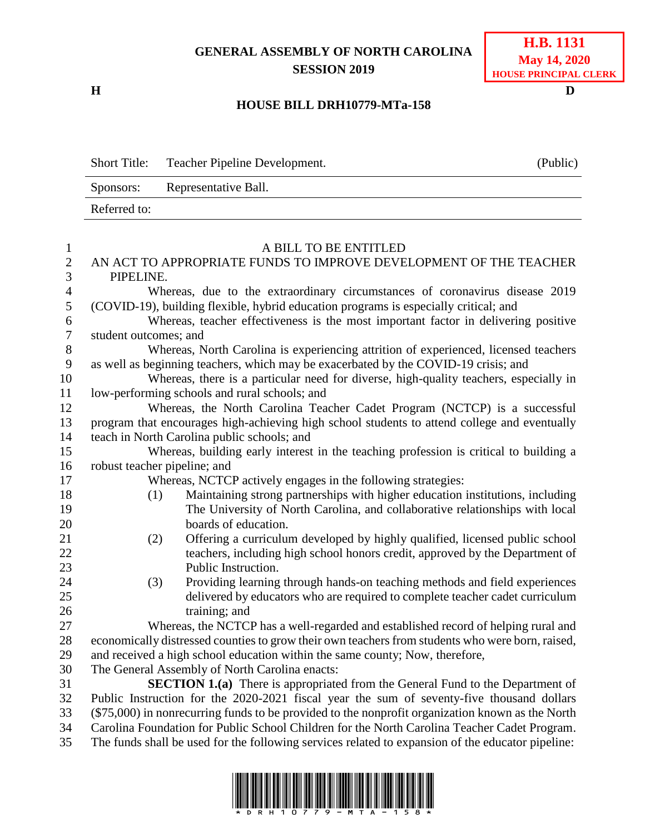## **GENERAL ASSEMBLY OF NORTH CAROLINA SESSION 2019**

**H D**

## **HOUSE BILL DRH10779-MTa-158**

Short Title: Teacher Pipeline Development. (Public) Sponsors: Representative Ball. Referred to:

| $\mathbf{1}$   | A BILL TO BE ENTITLED                                                                                                                                |  |  |  |
|----------------|------------------------------------------------------------------------------------------------------------------------------------------------------|--|--|--|
| $\mathbf{2}$   | AN ACT TO APPROPRIATE FUNDS TO IMPROVE DEVELOPMENT OF THE TEACHER                                                                                    |  |  |  |
| 3              | PIPELINE.                                                                                                                                            |  |  |  |
| $\overline{4}$ | Whereas, due to the extraordinary circumstances of coronavirus disease 2019                                                                          |  |  |  |
| 5              | (COVID-19), building flexible, hybrid education programs is especially critical; and                                                                 |  |  |  |
| 6              | Whereas, teacher effectiveness is the most important factor in delivering positive                                                                   |  |  |  |
| $\overline{7}$ | student outcomes; and                                                                                                                                |  |  |  |
| $8\,$          | Whereas, North Carolina is experiencing attrition of experienced, licensed teachers                                                                  |  |  |  |
| 9              | as well as beginning teachers, which may be exacerbated by the COVID-19 crisis; and                                                                  |  |  |  |
| 10             | Whereas, there is a particular need for diverse, high-quality teachers, especially in                                                                |  |  |  |
| 11             | low-performing schools and rural schools; and                                                                                                        |  |  |  |
| 12             | Whereas, the North Carolina Teacher Cadet Program (NCTCP) is a successful                                                                            |  |  |  |
| 13             | program that encourages high-achieving high school students to attend college and eventually                                                         |  |  |  |
| 14             | teach in North Carolina public schools; and                                                                                                          |  |  |  |
| 15<br>16       | Whereas, building early interest in the teaching profession is critical to building a                                                                |  |  |  |
| 17             | robust teacher pipeline; and                                                                                                                         |  |  |  |
| 18             | Whereas, NCTCP actively engages in the following strategies:<br>Maintaining strong partnerships with higher education institutions, including<br>(1) |  |  |  |
| 19             | The University of North Carolina, and collaborative relationships with local                                                                         |  |  |  |
| 20             | boards of education.                                                                                                                                 |  |  |  |
| 21             | Offering a curriculum developed by highly qualified, licensed public school<br>(2)                                                                   |  |  |  |
| 22             | teachers, including high school honors credit, approved by the Department of                                                                         |  |  |  |
| 23             | Public Instruction.                                                                                                                                  |  |  |  |
| 24             | Providing learning through hands-on teaching methods and field experiences<br>(3)                                                                    |  |  |  |
| 25             | delivered by educators who are required to complete teacher cadet curriculum                                                                         |  |  |  |
| 26             | training; and                                                                                                                                        |  |  |  |
| 27             | Whereas, the NCTCP has a well-regarded and established record of helping rural and                                                                   |  |  |  |
| 28             | economically distressed counties to grow their own teachers from students who were born, raised,                                                     |  |  |  |
| 29             | and received a high school education within the same county; Now, therefore,                                                                         |  |  |  |
| 30             | The General Assembly of North Carolina enacts:                                                                                                       |  |  |  |
| 31             | <b>SECTION 1.(a)</b> There is appropriated from the General Fund to the Department of                                                                |  |  |  |
| 32             | Public Instruction for the 2020-2021 fiscal year the sum of seventy-five thousand dollars                                                            |  |  |  |
| 33             | (\$75,000) in nonrecurring funds to be provided to the nonprofit organization known as the North                                                     |  |  |  |
| 34             | Carolina Foundation for Public School Children for the North Carolina Teacher Cadet Program.                                                         |  |  |  |
| 35             | The funds shall be used for the following services related to expansion of the educator pipeline:                                                    |  |  |  |